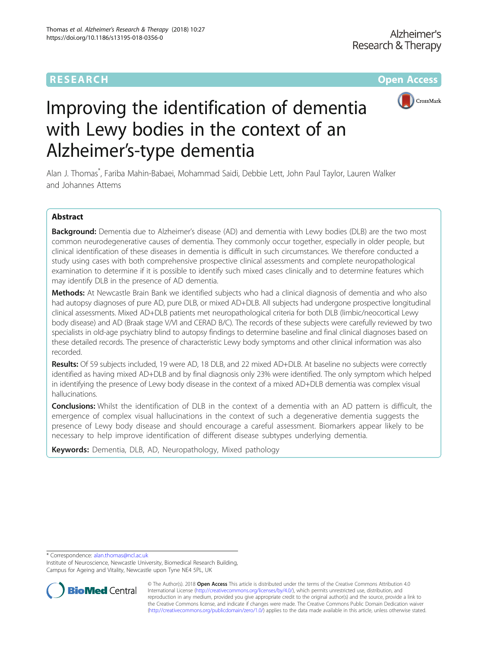# RESEARCH **RESEARCH CONSUMING THE CONSUMING THE CONSUMING THE CONSUMING TEAM Open Access**



# Improving the identification of dementia with Lewy bodies in the context of an Alzheimer's-type dementia

Alan J. Thomas\* , Fariba Mahin-Babaei, Mohammad Saidi, Debbie Lett, John Paul Taylor, Lauren Walker and Johannes Attems

# Abstract

Background: Dementia due to Alzheimer's disease (AD) and dementia with Lewy bodies (DLB) are the two most common neurodegenerative causes of dementia. They commonly occur together, especially in older people, but clinical identification of these diseases in dementia is difficult in such circumstances. We therefore conducted a study using cases with both comprehensive prospective clinical assessments and complete neuropathological examination to determine if it is possible to identify such mixed cases clinically and to determine features which may identify DLB in the presence of AD dementia.

**Methods:** At Newcastle Brain Bank we identified subjects who had a clinical diagnosis of dementia and who also had autopsy diagnoses of pure AD, pure DLB, or mixed AD+DLB. All subjects had undergone prospective longitudinal clinical assessments. Mixed AD+DLB patients met neuropathological criteria for both DLB (limbic/neocortical Lewy body disease) and AD (Braak stage V/VI and CERAD B/C). The records of these subjects were carefully reviewed by two specialists in old-age psychiatry blind to autopsy findings to determine baseline and final clinical diagnoses based on these detailed records. The presence of characteristic Lewy body symptoms and other clinical information was also recorded.

Results: Of 59 subjects included, 19 were AD, 18 DLB, and 22 mixed AD+DLB. At baseline no subjects were correctly identified as having mixed AD+DLB and by final diagnosis only 23% were identified. The only symptom which helped in identifying the presence of Lewy body disease in the context of a mixed AD+DLB dementia was complex visual hallucinations.

Conclusions: Whilst the identification of DLB in the context of a dementia with an AD pattern is difficult, the emergence of complex visual hallucinations in the context of such a degenerative dementia suggests the presence of Lewy body disease and should encourage a careful assessment. Biomarkers appear likely to be necessary to help improve identification of different disease subtypes underlying dementia.

Keywords: Dementia, DLB, AD, Neuropathology, Mixed pathology

\* Correspondence: [alan.thomas@ncl.ac.uk](mailto:alan.thomas@ncl.ac.uk)

Institute of Neuroscience, Newcastle University, Biomedical Research Building, Campus for Ageing and Vitality, Newcastle upon Tyne NE4 5PL, UK



© The Author(s). 2018 Open Access This article is distributed under the terms of the Creative Commons Attribution 4.0 International License [\(http://creativecommons.org/licenses/by/4.0/](http://creativecommons.org/licenses/by/4.0/)), which permits unrestricted use, distribution, and reproduction in any medium, provided you give appropriate credit to the original author(s) and the source, provide a link to the Creative Commons license, and indicate if changes were made. The Creative Commons Public Domain Dedication waiver [\(http://creativecommons.org/publicdomain/zero/1.0/](http://creativecommons.org/publicdomain/zero/1.0/)) applies to the data made available in this article, unless otherwise stated.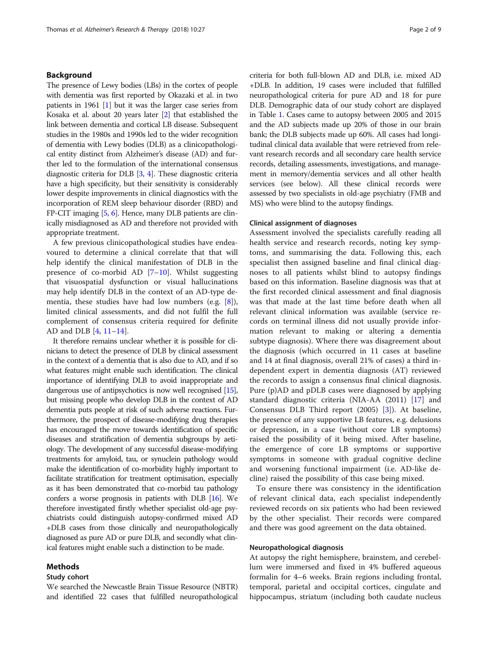## Background

The presence of Lewy bodies (LBs) in the cortex of people with dementia was first reported by Okazaki et al. in two patients in 1961 [\[1](#page-7-0)] but it was the larger case series from Kosaka et al. about 20 years later [\[2\]](#page-7-0) that established the link between dementia and cortical LB disease. Subsequent studies in the 1980s and 1990s led to the wider recognition of dementia with Lewy bodies (DLB) as a clinicopathological entity distinct from Alzheimer's disease (AD) and further led to the formulation of the international consensus diagnostic criteria for DLB [[3](#page-7-0), [4](#page-7-0)]. These diagnostic criteria have a high specificity, but their sensitivity is considerably lower despite improvements in clinical diagnostics with the incorporation of REM sleep behaviour disorder (RBD) and FP-CIT imaging [\[5](#page-7-0), [6\]](#page-7-0). Hence, many DLB patients are clinically misdiagnosed as AD and therefore not provided with appropriate treatment.

A few previous clinicopathological studies have endeavoured to determine a clinical correlate that that will help identify the clinical manifestation of DLB in the presence of co-morbid AD [\[7](#page-7-0)–[10\]](#page-7-0). Whilst suggesting that visuospatial dysfunction or visual hallucinations may help identify DLB in the context of an AD-type dementia, these studies have had low numbers (e.g. [\[8](#page-7-0)]), limited clinical assessments, and did not fulfil the full complement of consensus criteria required for definite AD and DLB [\[4](#page-7-0), [11](#page-7-0)–[14\]](#page-7-0).

It therefore remains unclear whether it is possible for clinicians to detect the presence of DLB by clinical assessment in the context of a dementia that is also due to AD, and if so what features might enable such identification. The clinical importance of identifying DLB to avoid inappropriate and dangerous use of antipsychotics is now well recognised [\[15](#page-7-0)], but missing people who develop DLB in the context of AD dementia puts people at risk of such adverse reactions. Furthermore, the prospect of disease-modifying drug therapies has encouraged the move towards identification of specific diseases and stratification of dementia subgroups by aetiology. The development of any successful disease-modifying treatments for amyloid, tau, or synuclein pathology would make the identification of co-morbidity highly important to facilitate stratification for treatment optimisation, especially as it has been demonstrated that co-morbid tau pathology confers a worse prognosis in patients with DLB [\[16](#page-7-0)]. We therefore investigated firstly whether specialist old-age psychiatrists could distinguish autopsy-confirmed mixed AD +DLB cases from those clinically and neuropathologically diagnosed as pure AD or pure DLB, and secondly what clinical features might enable such a distinction to be made.

# Methods

# Study cohort

We searched the Newcastle Brain Tissue Resource (NBTR) and identified 22 cases that fulfilled neuropathological

criteria for both full-blown AD and DLB, i.e. mixed AD +DLB. In addition, 19 cases were included that fulfilled neuropathological criteria for pure AD and 18 for pure DLB. Demographic data of our study cohort are displayed in Table [1.](#page-2-0) Cases came to autopsy between 2005 and 2015 and the AD subjects made up 20% of those in our brain bank; the DLB subjects made up 60%. All cases had longitudinal clinical data available that were retrieved from relevant research records and all secondary care health service records, detailing assessments, investigations, and management in memory/dementia services and all other health services (see below). All these clinical records were assessed by two specialists in old-age psychiatry (FMB and MS) who were blind to the autopsy findings.

## Clinical assignment of diagnoses

Assessment involved the specialists carefully reading all health service and research records, noting key symptoms, and summarising the data. Following this, each specialist then assigned baseline and final clinical diagnoses to all patients whilst blind to autopsy findings based on this information. Baseline diagnosis was that at the first recorded clinical assessment and final diagnosis was that made at the last time before death when all relevant clinical information was available (service records on terminal illness did not usually provide information relevant to making or altering a dementia subtype diagnosis). Where there was disagreement about the diagnosis (which occurred in 11 cases at baseline and 14 at final diagnosis, overall 21% of cases) a third independent expert in dementia diagnosis (AT) reviewed the records to assign a consensus final clinical diagnosis. Pure (p)AD and pDLB cases were diagnosed by applying standard diagnostic criteria (NIA-AA (2011) [\[17\]](#page-7-0) and Consensus DLB Third report (2005) [\[3\]](#page-7-0)). At baseline, the presence of any supportive LB features, e.g. delusions or depression, in a case (without core LB symptoms) raised the possibility of it being mixed. After baseline, the emergence of core LB symptoms or supportive symptoms in someone with gradual cognitive decline and worsening functional impairment (i.e. AD-like decline) raised the possibility of this case being mixed.

To ensure there was consistency in the identification of relevant clinical data, each specialist independently reviewed records on six patients who had been reviewed by the other specialist. Their records were compared and there was good agreement on the data obtained.

## Neuropathological diagnosis

At autopsy the right hemisphere, brainstem, and cerebellum were immersed and fixed in 4% buffered aqueous formalin for 4–6 weeks. Brain regions including frontal, temporal, parietal and occipital cortices, cingulate and hippocampus, striatum (including both caudate nucleus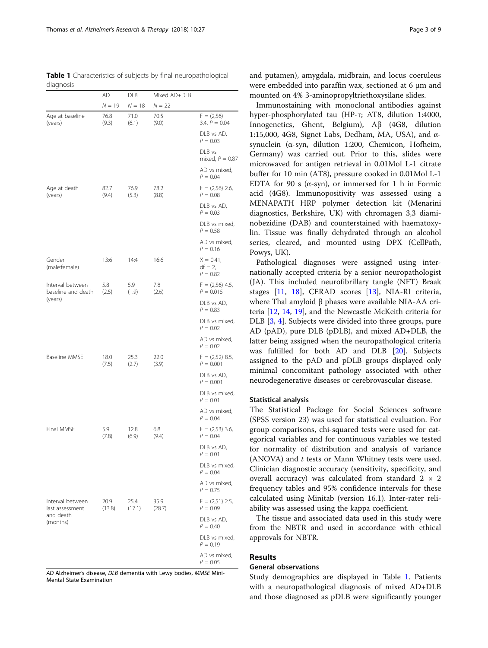<span id="page-2-0"></span>Table 1 Characteristics of subjects by final neuropathological diagnosis

| AD             | DLB            | Mixed AD+DLB   |                                          |
|----------------|----------------|----------------|------------------------------------------|
| $N = 19$       | $N = 18$       | $N = 22$       |                                          |
| 76.8<br>(9.3)  | 71.0<br>(6.1)  | 70.5<br>(9.0)  | $F = (2,56)$<br>3.4, $P = 0.04$          |
|                |                |                | DLB vs AD,<br>$P = 0.03$                 |
|                |                |                | DLB vs<br>mixed, $P = 0.87$              |
|                |                |                | AD vs mixed,<br>$P = 0.04$               |
| 82.7<br>(9.4)  | 76.9<br>(5.3)  | 78.2<br>(8.8)  | $F = (2,56)$ 2.6,<br>$P = 0.08$          |
|                |                |                | DLB vs AD,<br>$P = 0.03$                 |
|                |                |                | DLB vs mixed,<br>$P = 0.58$              |
|                |                |                | AD vs mixed,<br>$P = 0.16$               |
| 13:6           | 14:4           | 16:6           | $X = 0.41$ ,<br>$df = 2$ ,<br>$P = 0.82$ |
| 5.8<br>(2.5)   | 5.9<br>(1.9)   | 7.8<br>(2.6)   | $F = (2,56)$ 4.5,<br>$P = 0.015$         |
|                |                |                | DLB vs AD,<br>$P = 0.83$                 |
|                |                |                | DLB vs mixed,<br>$P = 0.02$              |
|                |                |                | AD vs mixed,<br>$P = 0.02$               |
| 18.0<br>(7.5)  | 25.3<br>(2.7)  | 22.0<br>(3.9)  | $F = (2,52)$ 8.5,<br>$P = 0.001$         |
|                |                |                | DLB vs AD,<br>$P = 0.001$                |
|                |                |                | DLB vs mixed,<br>$P = 0.01$              |
|                |                |                | AD vs mixed,<br>$P = 0.04$               |
| 5.9<br>(7.8)   | 12.8<br>(6.9)  | 6.8<br>(9.4)   | $F = (2,53)$ 3.6,<br>$P = 0.04$          |
|                |                |                | DLB vs AD,<br>$P = 0.01$                 |
|                |                |                | DLB vs mixed,<br>$P = 0.04$              |
|                |                |                | AD vs mixed,<br>$P = 0.75$               |
| 20.9<br>(13.8) | 25.4<br>(17.1) | 35.9<br>(28.7) | $F = (2,51)$ 2.5,<br>$P = 0.09$          |
|                |                |                | DLB vs AD,<br>$P = 0.40$                 |
|                |                |                | DLB vs mixed,<br>$P = 0.19$              |
|                |                |                | AD vs mixed,<br>$P = 0.05$               |
|                |                |                |                                          |

AD Alzheimer's disease, DLB dementia with Lewy bodies, MMSE Mini-Mental State Examination

and putamen), amygdala, midbrain, and locus coeruleus were embedded into paraffin wax, sectioned at 6 μm and mounted on 4% 3-aminopropyltriethoxysilane slides.

Immunostaining with monoclonal antibodies against hyper-phosphorylated tau (HP-τ; AT8, dilution 1:4000, Innogenetics, Ghent, Belgium), Aβ (4G8, dilution 1:15,000, 4G8, Signet Labs, Dedham, MA, USA), and  $\alpha$ synuclein (α-syn, dilution 1:200, Chemicon, Hofheim, Germany) was carried out. Prior to this, slides were microwaved for antigen retrieval in 0.01Mol L-1 citrate buffer for 10 min (AT8), pressure cooked in 0.01Mol L-1 EDTA for 90 s ( $\alpha$ -syn), or immersed for 1 h in Formic acid (4G8). Immunopositivity was assessed using a MENAPATH HRP polymer detection kit (Menarini diagnostics, Berkshire, UK) with chromagen 3,3 diaminobezidine (DAB) and counterstained with haematoxylin. Tissue was finally dehydrated through an alcohol series, cleared, and mounted using DPX (CellPath, Powys, UK).

Pathological diagnoses were assigned using internationally accepted criteria by a senior neuropathologist (JA). This included neurofibrillary tangle (NFT) Braak stages [\[11,](#page-7-0) [18\]](#page-7-0), CERAD scores [[13\]](#page-7-0), NIA-RI criteria, where Thal amyloid β phases were available NIA-AA criteria [\[12](#page-7-0), [14](#page-7-0), [19](#page-7-0)], and the Newcastle McKeith criteria for DLB [\[3](#page-7-0), [4](#page-7-0)]. Subjects were divided into three groups, pure AD (pAD), pure DLB (pDLB), and mixed AD+DLB, the latter being assigned when the neuropathological criteria was fulfilled for both AD and DLB [\[20](#page-8-0)]. Subjects assigned to the pAD and pDLB groups displayed only minimal concomitant pathology associated with other neurodegenerative diseases or cerebrovascular disease.

## Statistical analysis

The Statistical Package for Social Sciences software (SPSS version 23) was used for statistical evaluation. For group comparisons, chi-squared tests were used for categorical variables and for continuous variables we tested for normality of distribution and analysis of variance (ANOVA) and t tests or Mann Whitney tests were used. Clinician diagnostic accuracy (sensitivity, specificity, and overall accuracy) was calculated from standard 2 × 2 frequency tables and 95% confidence intervals for these calculated using Minitab (version 16.1). Inter-rater reliability was assessed using the kappa coefficient.

The tissue and associated data used in this study were from the NBTR and used in accordance with ethical approvals for NBTR.

## Results

## General observations

Study demographics are displayed in Table 1. Patients with a neuropathological diagnosis of mixed AD+DLB and those diagnosed as pDLB were significantly younger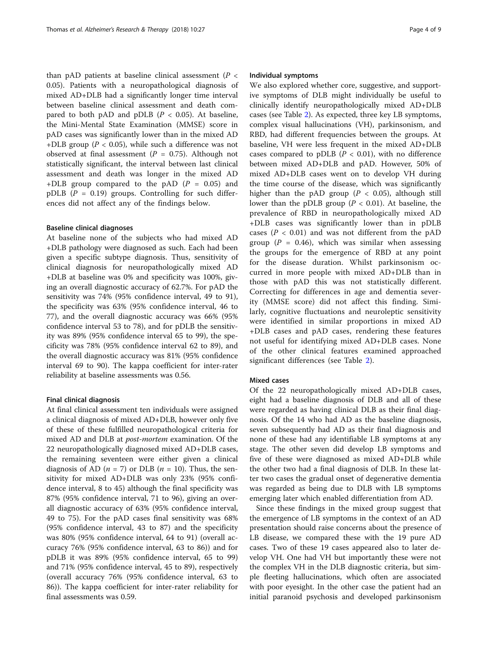than pAD patients at baseline clinical assessment ( $P <$ 0.05). Patients with a neuropathological diagnosis of mixed AD+DLB had a significantly longer time interval between baseline clinical assessment and death compared to both pAD and pDLB ( $P < 0.05$ ). At baseline, the Mini-Mental State Examination (MMSE) score in pAD cases was significantly lower than in the mixed AD +DLB group ( $P < 0.05$ ), while such a difference was not observed at final assessment ( $P = 0.75$ ). Although not statistically significant, the interval between last clinical assessment and death was longer in the mixed AD +DLB group compared to the pAD  $(P = 0.05)$  and pDLB  $(P = 0.19)$  groups. Controlling for such differences did not affect any of the findings below.

## Baseline clinical diagnoses

At baseline none of the subjects who had mixed AD +DLB pathology were diagnosed as such. Each had been given a specific subtype diagnosis. Thus, sensitivity of clinical diagnosis for neuropathologically mixed AD +DLB at baseline was 0% and specificity was 100%, giving an overall diagnostic accuracy of 62.7%. For pAD the sensitivity was 74% (95% confidence interval, 49 to 91), the specificity was 63% (95% confidence interval, 46 to 77), and the overall diagnostic accuracy was 66% (95% confidence interval 53 to 78), and for pDLB the sensitivity was 89% (95% confidence interval 65 to 99), the specificity was 78% (95% confidence interval 62 to 89), and the overall diagnostic accuracy was 81% (95% confidence interval 69 to 90). The kappa coefficient for inter-rater reliability at baseline assessments was 0.56.

## Final clinical diagnosis

At final clinical assessment ten individuals were assigned a clinical diagnosis of mixed AD+DLB, however only five of these of these fulfilled neuropathological criteria for mixed AD and DLB at post-mortem examination. Of the 22 neuropathologically diagnosed mixed AD+DLB cases, the remaining seventeen were either given a clinical diagnosis of AD ( $n = 7$ ) or DLB ( $n = 10$ ). Thus, the sensitivity for mixed AD+DLB was only 23% (95% confidence interval, 8 to 45) although the final specificity was 87% (95% confidence interval, 71 to 96), giving an overall diagnostic accuracy of 63% (95% confidence interval, 49 to 75). For the pAD cases final sensitivity was 68% (95% confidence interval, 43 to 87) and the specificity was 80% (95% confidence interval, 64 to 91) (overall accuracy 76% (95% confidence interval, 63 to 86)) and for pDLB it was 89% (95% confidence interval, 65 to 99) and 71% (95% confidence interval, 45 to 89), respectively (overall accuracy 76% (95% confidence interval, 63 to 86)). The kappa coefficient for inter-rater reliability for final assessments was 0.59.

## Individual symptoms

We also explored whether core, suggestive, and supportive symptoms of DLB might individually be useful to clinically identify neuropathologically mixed AD+DLB cases (see Table [2\)](#page-4-0). As expected, three key LB symptoms, complex visual hallucinations (VH), parkinsonism, and RBD, had different frequencies between the groups. At baseline, VH were less frequent in the mixed AD+DLB cases compared to pDLB ( $P < 0.01$ ), with no difference between mixed AD+DLB and pAD. However, 50% of mixed AD+DLB cases went on to develop VH during the time course of the disease, which was significantly higher than the pAD group ( $P < 0.05$ ), although still lower than the pDLB group ( $P < 0.01$ ). At baseline, the prevalence of RBD in neuropathologically mixed AD +DLB cases was significantly lower than in pDLB cases ( $P < 0.01$ ) and was not different from the pAD group ( $P = 0.46$ ), which was similar when assessing the groups for the emergence of RBD at any point for the disease duration. Whilst parkinsonism occurred in more people with mixed AD+DLB than in those with pAD this was not statistically different. Correcting for differences in age and dementia severity (MMSE score) did not affect this finding. Similarly, cognitive fluctuations and neuroleptic sensitivity were identified in similar proportions in mixed AD +DLB cases and pAD cases, rendering these features not useful for identifying mixed AD+DLB cases. None of the other clinical features examined approached significant differences (see Table [2](#page-4-0)).

# Mixed cases

Of the 22 neuropathologically mixed AD+DLB cases, eight had a baseline diagnosis of DLB and all of these were regarded as having clinical DLB as their final diagnosis. Of the 14 who had AD as the baseline diagnosis, seven subsequently had AD as their final diagnosis and none of these had any identifiable LB symptoms at any stage. The other seven did develop LB symptoms and five of these were diagnosed as mixed AD+DLB while the other two had a final diagnosis of DLB. In these latter two cases the gradual onset of degenerative dementia was regarded as being due to DLB with LB symptoms emerging later which enabled differentiation from AD.

Since these findings in the mixed group suggest that the emergence of LB symptoms in the context of an AD presentation should raise concerns about the presence of LB disease, we compared these with the 19 pure AD cases. Two of these 19 cases appeared also to later develop VH. One had VH but importantly these were not the complex VH in the DLB diagnostic criteria, but simple fleeting hallucinations, which often are associated with poor eyesight. In the other case the patient had an initial paranoid psychosis and developed parkinsonism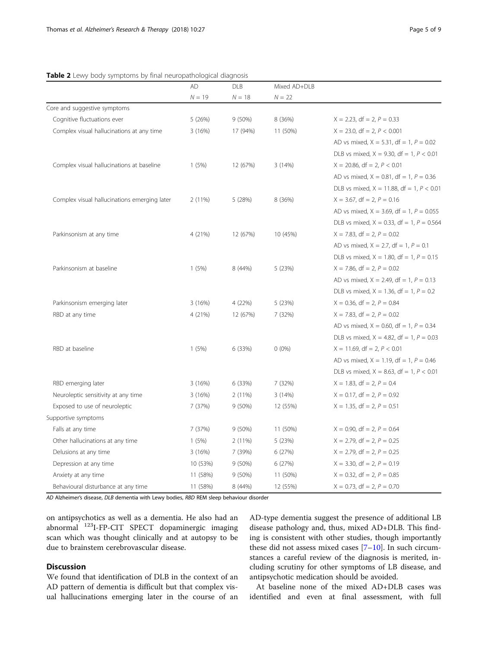## <span id="page-4-0"></span>Table 2 Lewy body symptoms by final neuropathological diagnosis

|                                              | <b>AD</b> | <b>DLB</b> | Mixed AD+DLB |                                                |
|----------------------------------------------|-----------|------------|--------------|------------------------------------------------|
|                                              | $N = 19$  | $N = 18$   | $N = 22$     |                                                |
| Core and suggestive symptoms                 |           |            |              |                                                |
| Cognitive fluctuations ever                  | 5 (26%)   | $9(50\%)$  | 8 (36%)      | $X = 2.23$ , df = 2, $P = 0.33$                |
| Complex visual hallucinations at any time    | 3 (16%)   | 17 (94%)   | 11 (50%)     | $X = 23.0$ , df = 2, $P < 0.001$               |
|                                              |           |            |              | AD vs mixed, $X = 5.31$ , df = 1, $P = 0.02$   |
|                                              |           |            |              | DLB vs mixed, $X = 9.30$ , df = 1, $P < 0.01$  |
| Complex visual hallucinations at baseline    | 1(5%)     | 12 (67%)   | 3(14%)       | $X = 20.86$ , df = 2, $P < 0.01$               |
|                                              |           |            |              | AD vs mixed, $X = 0.81$ , df = 1, $P = 0.36$   |
|                                              |           |            |              | DLB vs mixed, $X = 11.88$ , df = 1, $P < 0.01$ |
| Complex visual hallucinations emerging later | 2(11%)    | 5(28%)     | 8 (36%)      | $X = 3.67$ , df = 2, $P = 0.16$                |
|                                              |           |            |              | AD vs mixed, $X = 3.69$ , df = 1, $P = 0.055$  |
|                                              |           |            |              | DLB vs mixed, $X = 0.33$ , df = 1, $P = 0.564$ |
| Parkinsonism at any time                     | 4 (21%)   | 12 (67%)   | 10 (45%)     | $X = 7.83$ , df = 2, $P = 0.02$                |
|                                              |           |            |              | AD vs mixed, $X = 2.7$ , df = 1, $P = 0.1$     |
|                                              |           |            |              | DLB vs mixed, $X = 1.80$ , df = 1, $P = 0.15$  |
| Parkinsonism at baseline                     | 1(5%)     | 8 (44%)    | 5 (23%)      | $X = 7.86$ , df = 2, $P = 0.02$                |
|                                              |           |            |              | AD vs mixed, $X = 2.49$ , df = 1, $P = 0.13$   |
|                                              |           |            |              | DLB vs mixed, $X = 1.36$ , df = 1, $P = 0.2$   |
| Parkinsonism emerging later                  | 3(16%)    | 4 (22%)    | 5 (23%)      | $X = 0.36$ , df = 2, $P = 0.84$                |
| RBD at any time                              | 4 (21%)   | 12 (67%)   | 7 (32%)      | $X = 7.83$ , df = 2, $P = 0.02$                |
|                                              |           |            |              | AD vs mixed, $X = 0.60$ , df = 1, $P = 0.34$   |
|                                              |           |            |              | DLB vs mixed, $X = 4.82$ , df = 1, $P = 0.03$  |
| RBD at baseline                              | 1(5%)     | 6 (33%)    | $0(0\%)$     | $X = 11.69$ , df = 2, $P < 0.01$               |
|                                              |           |            |              | AD vs mixed, $X = 1.19$ , df = 1, $P = 0.46$   |
|                                              |           |            |              | DLB vs mixed, $X = 8.63$ , df = 1, $P < 0.01$  |
| RBD emerging later                           | 3(16%)    | 6(33%)     | 7 (32%)      | $X = 1.83$ , df = 2, $P = 0.4$                 |
| Neuroleptic sensitivity at any time          | 3(16%)    | 2 (11%)    | 3(14%)       | $X = 0.17$ , df = 2, $P = 0.92$                |
| Exposed to use of neuroleptic                | 7 (37%)   | 9(50%)     | 12 (55%)     | $X = 1.35$ , df = 2, $P = 0.51$                |
| Supportive symptoms                          |           |            |              |                                                |
| Falls at any time                            | 7 (37%)   | 9(50%)     | 11 (50%)     | $X = 0.90$ , df = 2, $P = 0.64$                |
| Other hallucinations at any time             | 1(5%)     | 2(11%)     | 5(23%)       | $X = 2.79$ , df = 2, $P = 0.25$                |
| Delusions at any time                        | 3(16%)    | 7 (39%)    | 6 (27%)      | $X = 2.79$ , df = 2, $P = 0.25$                |
| Depression at any time                       | 10 (53%)  | 9(50%)     | 6(27%)       | $X = 3.30$ , df = 2, $P = 0.19$                |
| Anxiety at any time                          | 11 (58%)  | 9(50%)     | 11 (50%)     | $X = 0.32$ , df = 2, $P = 0.85$                |
| Behavioural disturbance at any time          | 11 (58%)  | 8 (44%)    | 12 (55%)     | $X = 0.73$ , df = 2, $P = 0.70$                |

AD Alzheimer's disease, DLB dementia with Lewy bodies, RBD REM sleep behaviour disorder

on antipsychotics as well as a dementia. He also had an abnormal 123I-FP-CIT SPECT dopaminergic imaging scan which was thought clinically and at autopsy to be due to brainstem cerebrovascular disease.

# Discussion

We found that identification of DLB in the context of an AD pattern of dementia is difficult but that complex visual hallucinations emerging later in the course of an AD-type dementia suggest the presence of additional LB disease pathology and, thus, mixed AD+DLB. This finding is consistent with other studies, though importantly these did not assess mixed cases  $[7-10]$  $[7-10]$  $[7-10]$  $[7-10]$ . In such circumstances a careful review of the diagnosis is merited, including scrutiny for other symptoms of LB disease, and antipsychotic medication should be avoided.

At baseline none of the mixed AD+DLB cases was identified and even at final assessment, with full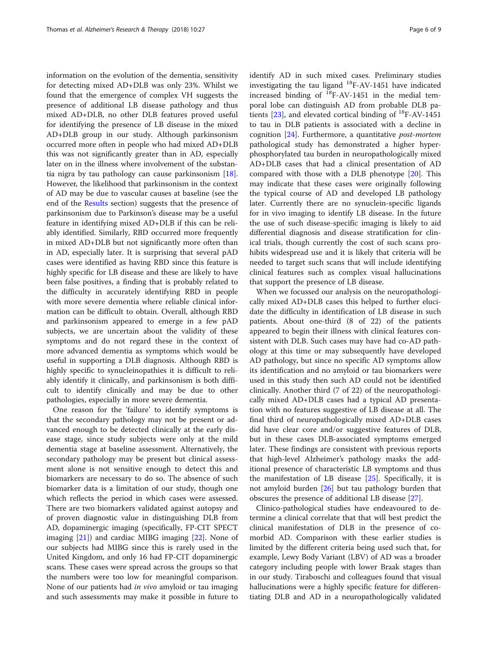information on the evolution of the dementia, sensitivity for detecting mixed AD+DLB was only 23%. Whilst we found that the emergence of complex VH suggests the presence of additional LB disease pathology and thus mixed AD+DLB, no other DLB features proved useful for identifying the presence of LB disease in the mixed AD+DLB group in our study. Although parkinsonism occurred more often in people who had mixed AD+DLB this was not significantly greater than in AD, especially later on in the illness where involvement of the substantia nigra by tau pathology can cause parkinsonism [\[18](#page-7-0)]. However, the likelihood that parkinsonism in the context of AD may be due to vascular causes at baseline (see the end of the [Results](#page-2-0) section) suggests that the presence of parkinsonism due to Parkinson's disease may be a useful feature in identifying mixed AD+DLB if this can be reliably identified. Similarly, RBD occurred more frequently in mixed AD+DLB but not significantly more often than in AD, especially later. It is surprising that several pAD cases were identified as having RBD since this feature is highly specific for LB disease and these are likely to have been false positives, a finding that is probably related to the difficulty in accurately identifying RBD in people with more severe dementia where reliable clinical information can be difficult to obtain. Overall, although RBD and parkinsonism appeared to emerge in a few pAD subjects, we are uncertain about the validity of these symptoms and do not regard these in the context of more advanced dementia as symptoms which would be useful in supporting a DLB diagnosis. Although RBD is highly specific to synucleinopathies it is difficult to reliably identify it clinically, and parkinsonism is both difficult to identify clinically and may be due to other pathologies, especially in more severe dementia.

One reason for the 'failure' to identify symptoms is that the secondary pathology may not be present or advanced enough to be detected clinically at the early disease stage, since study subjects were only at the mild dementia stage at baseline assessment. Alternatively, the secondary pathology may be present but clinical assessment alone is not sensitive enough to detect this and biomarkers are necessary to do so. The absence of such biomarker data is a limitation of our study, though one which reflects the period in which cases were assessed. There are two biomarkers validated against autopsy and of proven diagnostic value in distinguishing DLB from AD, dopaminergic imaging (specifically, FP-CIT SPECT imaging [\[21](#page-8-0)]) and cardiac MIBG imaging [\[22](#page-8-0)]. None of our subjects had MIBG since this is rarely used in the United Kingdom, and only 16 had FP-CIT dopaminergic scans. These cases were spread across the groups so that the numbers were too low for meaningful comparison. None of our patients had *in vivo* amyloid or tau imaging and such assessments may make it possible in future to identify AD in such mixed cases. Preliminary studies investigating the tau ligand 18F-AV-1451 have indicated increased binding of  $^{18}$ F-AV-1451 in the medial temporal lobe can distinguish AD from probable DLB patients  $[23]$  $[23]$ , and elevated cortical binding of  $^{18}$ F-AV-1451 to tau in DLB patients is associated with a decline in cognition [\[24\]](#page-8-0). Furthermore, a quantitative post-mortem pathological study has demonstrated a higher hyperphosphorylated tau burden in neuropathologically mixed AD+DLB cases that had a clinical presentation of AD compared with those with a DLB phenotype [\[20\]](#page-8-0). This may indicate that these cases were originally following the typical course of AD and developed LB pathology later. Currently there are no synuclein-specific ligands for in vivo imaging to identify LB disease. In the future the use of such disease-specific imaging is likely to aid differential diagnosis and disease stratification for clinical trials, though currently the cost of such scans prohibits widespread use and it is likely that criteria will be needed to target such scans that will include identifying clinical features such as complex visual hallucinations that support the presence of LB disease.

When we focussed our analysis on the neuropathologically mixed AD+DLB cases this helped to further elucidate the difficulty in identification of LB disease in such patients. About one-third (8 of 22) of the patients appeared to begin their illness with clinical features consistent with DLB. Such cases may have had co-AD pathology at this time or may subsequently have developed AD pathology, but since no specific AD symptoms allow its identification and no amyloid or tau biomarkers were used in this study then such AD could not be identified clinically. Another third (7 of 22) of the neuropathologically mixed AD+DLB cases had a typical AD presentation with no features suggestive of LB disease at all. The final third of neuropathologically mixed AD+DLB cases did have clear core and/or suggestive features of DLB, but in these cases DLB-associated symptoms emerged later. These findings are consistent with previous reports that high-level Alzheimer's pathology masks the additional presence of characteristic LB symptoms and thus the manifestation of LB disease  $[25]$  $[25]$ . Specifically, it is not amyloid burden [[26\]](#page-8-0) but tau pathology burden that obscures the presence of additional LB disease [\[27](#page-8-0)].

Clinico-pathological studies have endeavoured to determine a clinical correlate that that will best predict the clinical manifestation of DLB in the presence of comorbid AD. Comparison with these earlier studies is limited by the different criteria being used such that, for example, Lewy Body Variant (LBV) of AD was a broader category including people with lower Braak stages than in our study. Tiraboschi and colleagues found that visual hallucinations were a highly specific feature for differentiating DLB and AD in a neuropathologically validated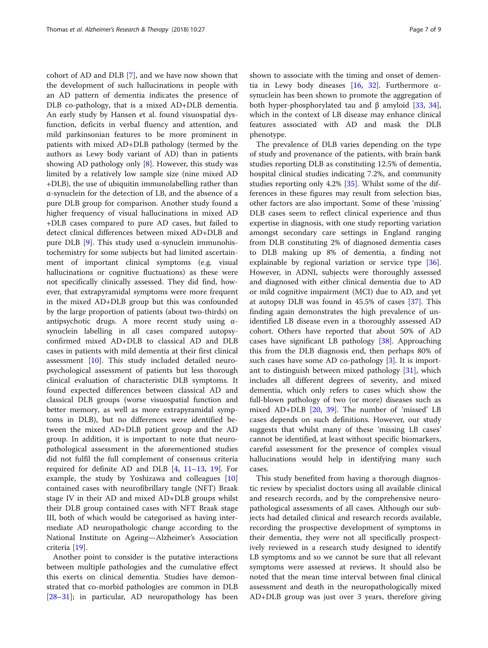cohort of AD and DLB [\[7](#page-7-0)], and we have now shown that the development of such hallucinations in people with an AD pattern of dementia indicates the presence of DLB co-pathology, that is a mixed AD+DLB dementia. An early study by Hansen et al. found visuospatial dysfunction, deficits in verbal fluency and attention, and mild parkinsonian features to be more prominent in patients with mixed AD+DLB pathology (termed by the authors as Lewy body variant of AD) than in patients showing AD pathology only [[8\]](#page-7-0). However, this study was limited by a relatively low sample size (nine mixed AD +DLB), the use of ubiquitin immunolabelling rather than α-synuclein for the detection of LB, and the absence of a pure DLB group for comparison. Another study found a higher frequency of visual hallucinations in mixed AD +DLB cases compared to pure AD cases, but failed to detect clinical differences between mixed AD+DLB and pure DLB [[9\]](#page-7-0). This study used α-synuclein immunohistochemistry for some subjects but had limited ascertainment of important clinical symptoms (e.g. visual hallucinations or cognitive fluctuations) as these were not specifically clinically assessed. They did find, however, that extrapyramidal symptoms were more frequent in the mixed AD+DLB group but this was confounded by the large proportion of patients (about two-thirds) on antipsychotic drugs. A more recent study using αsynuclein labelling in all cases compared autopsyconfirmed mixed AD+DLB to classical AD and DLB cases in patients with mild dementia at their first clinical assessment [\[10\]](#page-7-0). This study included detailed neuropsychological assessment of patients but less thorough clinical evaluation of characteristic DLB symptoms. It found expected differences between classical AD and classical DLB groups (worse visuospatial function and better memory, as well as more extrapyramidal symptoms in DLB), but no differences were identified between the mixed AD+DLB patient group and the AD group. In addition, it is important to note that neuropathological assessment in the aforementioned studies did not fulfil the full complement of consensus criteria required for definite AD and DLB [[4](#page-7-0), [11](#page-7-0)–[13,](#page-7-0) [19\]](#page-7-0). For example, the study by Yoshizawa and colleagues [[10](#page-7-0)] contained cases with neurofibrillary tangle (NFT) Braak stage IV in their AD and mixed AD+DLB groups whilst their DLB group contained cases with NFT Braak stage III, both of which would be categorised as having intermediate AD neuropathologic change according to the National Institute on Ageing—Alzheimer's Association criteria [[19](#page-7-0)].

Another point to consider is the putative interactions between multiple pathologies and the cumulative effect this exerts on clinical dementia. Studies have demonstrated that co-morbid pathologies are common in DLB [[28](#page-8-0)–[31](#page-8-0)]; in particular, AD neuropathology has been shown to associate with the timing and onset of demen-tia in Lewy body diseases [\[16](#page-7-0), [32](#page-8-0)]. Furthermore αsynuclein has been shown to promote the aggregation of both hyper-phosphorylated tau and β amyloid [\[33,](#page-8-0) [34](#page-8-0)], which in the context of LB disease may enhance clinical features associated with AD and mask the DLB phenotype.

The prevalence of DLB varies depending on the type of study and provenance of the patients, with brain bank studies reporting DLB as constituting 12.5% of dementia, hospital clinical studies indicating 7.2%, and community studies reporting only 4.2% [\[35](#page-8-0)]. Whilst some of the differences in these figures may result from selection bias, other factors are also important. Some of these 'missing' DLB cases seem to reflect clinical experience and thus expertise in diagnosis, with one study reporting variation amongst secondary care settings in England ranging from DLB constituting 2% of diagnosed dementia cases to DLB making up 8% of dementia, a finding not explainable by regional variation or service type [\[36](#page-8-0)]. However, in ADNI, subjects were thoroughly assessed and diagnosed with either clinical dementia due to AD or mild cognitive impairment (MCI) due to AD, and yet at autopsy DLB was found in 45.5% of cases [\[37](#page-8-0)]. This finding again demonstrates the high prevalence of unidentified LB disease even in a thoroughly assessed AD cohort. Others have reported that about 50% of AD cases have significant LB pathology [\[38](#page-8-0)]. Approaching this from the DLB diagnosis end, then perhaps 80% of such cases have some AD co-pathology [\[3](#page-7-0)]. It is important to distinguish between mixed pathology [\[31](#page-8-0)], which includes all different degrees of severity, and mixed dementia, which only refers to cases which show the full-blown pathology of two (or more) diseases such as mixed AD+DLB [\[20](#page-8-0), [39](#page-8-0)]. The number of 'missed' LB cases depends on such definitions. However, our study suggests that whilst many of these 'missing LB cases' cannot be identified, at least without specific biomarkers, careful assessment for the presence of complex visual hallucinations would help in identifying many such cases.

This study benefited from having a thorough diagnostic review by specialist doctors using all available clinical and research records, and by the comprehensive neuropathological assessments of all cases. Although our subjects had detailed clinical and research records available, recording the prospective development of symptoms in their dementia, they were not all specifically prospectively reviewed in a research study designed to identify LB symptoms and so we cannot be sure that all relevant symptoms were assessed at reviews. It should also be noted that the mean time interval between final clinical assessment and death in the neuropathologically mixed AD+DLB group was just over 3 years, therefore giving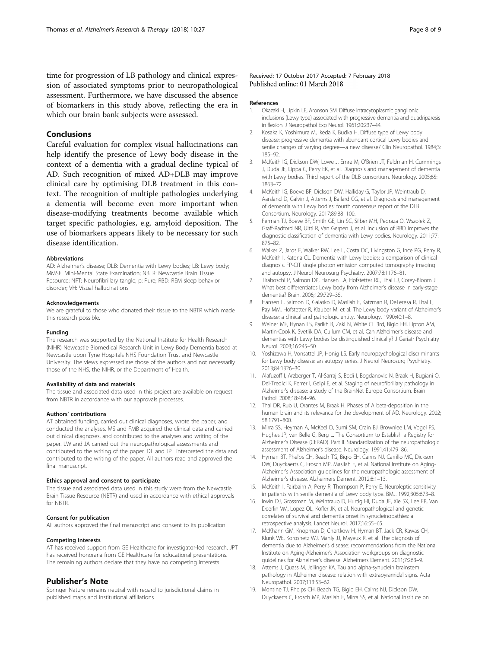<span id="page-7-0"></span>time for progression of LB pathology and clinical expression of associated symptoms prior to neuropathological assessment. Furthermore, we have discussed the absence of biomarkers in this study above, reflecting the era in which our brain bank subjects were assessed.

## Conclusions

Careful evaluation for complex visual hallucinations can help identify the presence of Lewy body disease in the context of a dementia with a gradual decline typical of AD. Such recognition of mixed AD+DLB may improve clinical care by optimising DLB treatment in this context. The recognition of multiple pathologies underlying a dementia will become even more important when disease-modifying treatments become available which target specific pathologies, e.g. amyloid deposition. The use of biomarkers appears likely to be necessary for such disease identification.

#### Abbreviations

AD: Alzheimer's disease; DLB: Dementia with Lewy bodies; LB: Lewy body; MMSE: Mini-Mental State Examination; NBTR: Newcastle Brain Tissue Resource; NFT: Neurofibrillary tangle; p: Pure; RBD: REM sleep behavior disorder; VH: Visual hallucinations

### Acknowledgements

We are grateful to those who donated their tissue to the NBTR which made this research possible.

#### Funding

The research was supported by the National Institute for Health Research (NIHR) Newcastle Biomedical Research Unit in Lewy Body Dementia based at Newcastle upon Tyne Hospitals NHS Foundation Trust and Newcastle University. The views expressed are those of the authors and not necessarily those of the NHS, the NIHR, or the Department of Health.

#### Availability of data and materials

The tissue and associated data used in this project are available on request from NBTR in accordance with our approvals processes.

## Authors' contributions

AT obtained funding, carried out clinical diagnoses, wrote the paper, and conducted the analyses. MS and FMB acquired the clinical data and carried out clinical diagnoses, and contributed to the analyses and writing of the paper. LW and JA carried out the neuropathological assessments and contributed to the writing of the paper. DL and JPT interpreted the data and contributed to the writing of the paper. All authors read and approved the final manuscript.

### Ethics approval and consent to participate

The tissue and associated data used in this study were from the Newcastle Brain Tissue Resource (NBTR) and used in accordance with ethical approvals for NBTR.

## Consent for publication

All authors approved the final manuscript and consent to its publication.

## Competing interests

AT has received support from GE Healthcare for investigator-led research. JPT has received honoraria from GE Healthcare for educational presentations. The remaining authors declare that they have no competing interests.

## Publisher's Note

Springer Nature remains neutral with regard to jurisdictional claims in published maps and institutional affiliations.

## Received: 17 October 2017 Accepted: 7 February 2018 Published online: 01 March 2018

#### References

- 1. Okazaki H, Lipkin LE, Aronson SM. Diffuse intracytoplasmic ganglionic inclusions (Lewy type) associated with progressive dementia and quadriparesis in flexion. J Neuropathol Exp Neurol. 1961;20:237–44.
- 2. Kosaka K, Yoshimura M, Ikeda K, Budka H. Diffuse type of Lewy body disease: progressive dementia with abundant cortical Lewy bodies and senile changes of varying degree—a new disease? Clin Neuropathol. 1984;3: 185–92.
- 3. McKeith IG, Dickson DW, Lowe J, Emre M, O'Brien JT, Feldman H, Cummings J, Duda JE, Lippa C, Perry EK, et al. Diagnosis and management of dementia with Lewy bodies. Third report of the DLB consortium. Neurology. 2005;65: 1863–72.
- 4. McKeith IG, Boeve BF, Dickson DW, Halliday G, Taylor JP, Weintraub D, Aarsland D, Galvin J, Attems J, Ballard CG, et al. Diagnosis and management of dementia with Lewy bodies: fourth consensus report of the DLB Consortium. Neurology. 2017;89:88–100.
- 5. Ferman TJ, Boeve BF, Smith GE, Lin SC, Silber MH, Pedraza O, Wszolek Z, Graff-Radford NR, Uitti R, Van Gerpen J, et al. Inclusion of RBD improves the diagnostic classification of dementia with Lewy bodies. Neurology. 2011;77: 875–82.
- 6. Walker Z, Jaros E, Walker RW, Lee L, Costa DC, Livingston G, Ince PG, Perry R, McKeith I, Katona CL. Dementia with Lewy bodies: a comparison of clinical diagnosis, FP-CIT single photon emission computed tomography imaging and autopsy. J Neurol Neurosurg Psychiatry. 2007;78:1176–81.
- Tiraboschi P, Salmon DP, Hansen LA, Hofstetter RC, Thal LJ, Corey-Bloom J. What best differentiates Lewy body from Alzheimer's disease in early-stage dementia? Brain. 2006;129:729–35.
- 8. Hansen L, Salmon D, Galasko D, Masliah E, Katzman R, DeTeresa R, Thal L, Pay MM, Hofstetter R, Klauber M, et al. The Lewy body variant of Alzheimer's disease: a clinical and pathologic entity. Neurology. 1990;40:1–8.
- 9. Weiner MF, Hynan LS, Parikh B, Zaki N, White CL 3rd, Bigio EH, Lipton AM, Martin-Cook K, Svetlik DA, Cullum CM, et al. Can Alzheimer's disease and dementias with Lewy bodies be distinguished clinically? J Geriatr Psychiatry Neurol. 2003;16:245–50.
- 10. Yoshizawa H, Vonsattel JP, Honig LS. Early neuropsychological discriminants for Lewy body disease: an autopsy series. J Neurol Neurosurg Psychiatry. 2013;84:1326–30.
- 11. Alafuzoff I, Arzberger T, Al-Sarraj S, Bodi I, Bogdanovic N, Braak H, Bugiani O, Del-Tredici K, Ferrer I, Gelpi E, et al. Staging of neurofibrillary pathology in Alzheimer's disease: a study of the BrainNet Europe Consortium. Brain Pathol. 2008;18:484–96.
- 12. Thal DR, Rub U, Orantes M, Braak H. Phases of A beta-deposition in the human brain and its relevance for the development of AD. Neurology. 2002; 58:1791–800.
- 13. Mirra SS, Heyman A, McKeel D, Sumi SM, Crain BJ, Brownlee LM, Vogel FS, Hughes JP, van Belle G, Berg L. The Consortium to Establish a Registry for Alzheimer's Disease (CERAD). Part II. Standardization of the neuropathologic assessment of Alzheimer's disease. Neurology. 1991;41:479–86.
- 14. Hyman BT, Phelps CH, Beach TG, Bigio EH, Cairns NJ, Carrillo MC, Dickson DW, Duyckaerts C, Frosch MP, Masliah E, et al. National Institute on Aging-Alzheimer's Association guidelines for the neuropathologic assessment of Alzheimer's disease. Alzheimers Dement. 2012;8:1–13.
- 15. McKeith I, Fairbairn A, Perry R, Thompson P, Perry E. Neuroleptic sensitivity in patients with senile dementia of Lewy body type. BMJ. 1992;305:673–8.
- 16. Irwin DJ, Grossman M, Weintraub D, Hurtig HI, Duda JE, Xie SX, Lee EB, Van Deerlin VM, Lopez OL, Kofler JK, et al. Neuropathological and genetic correlates of survival and dementia onset in synucleinopathies: a retrospective analysis. Lancet Neurol. 2017;16:55–65.
- 17. McKhann GM, Knopman D, Chertkow H, Hyman BT, Jack CR, Kawas CH, Klunk WE, Koroshetz WJ, Manly JJ, Mayeux R, et al. The diagnosis of dementia due to Alzheimer's disease: recommendations from the National Institute on Aging-Alzheimer's Association workgroups on diagnostic guidelines for Alzheimer's disease. Alzheimers Dement. 2011;7:263–9.
- 18. Attems J, Quass M, Jellinger KA. Tau and alpha-synuclein brainstem pathology in Alzheimer disease: relation with extrapyramidal signs. Acta Neuropathol. 2007;113:53–62.
- 19. Montine TJ, Phelps CH, Beach TG, Bigio EH, Cairns NJ, Dickson DW, Duyckaerts C, Frosch MP, Masliah E, Mirra SS, et al. National Institute on